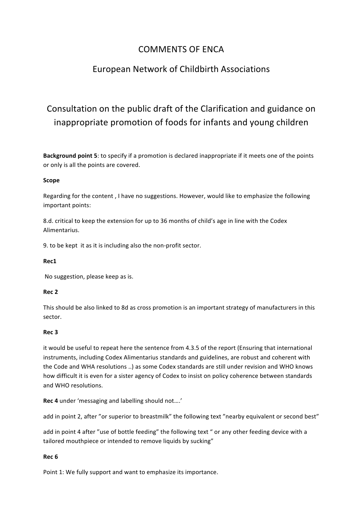## COMMENTS OF FNCA

## European Network of Childbirth Associations

# Consultation on the public draft of the Clarification and guidance on inappropriate promotion of foods for infants and young children

**Background point 5**: to specify if a promotion is declared inappropriate if it meets one of the points or only is all the points are covered.

### **Scope**

Regarding for the content, I have no suggestions. However, would like to emphasize the following important points: 

8.d. critical to keep the extension for up to 36 months of child's age in line with the Codex Alimentarius. 

9. to be kept it as it is including also the non-profit sector.

#### **Rec1**

No suggestion, please keep as is.

#### **Rec 2**

This should be also linked to 8d as cross promotion is an important strategy of manufacturers in this sector.

#### **Rec 3**

it would be useful to repeat here the sentence from 4.3.5 of the report (Ensuring that international instruments, including Codex Alimentarius standards and guidelines, are robust and coherent with the Code and WHA resolutions ..) as some Codex standards are still under revision and WHO knows how difficult it is even for a sister agency of Codex to insist on policy coherence between standards and WHO resolutions.

**Rec 4** under 'messaging and labelling should not....'

add in point 2, after "or superior to breastmilk" the following text "nearby equivalent or second best"

add in point 4 after "use of bottle feeding" the following text " or any other feeding device with a tailored mouthpiece or intended to remove liquids by sucking"

#### **Rec 6**

Point 1: We fully support and want to emphasize its importance.